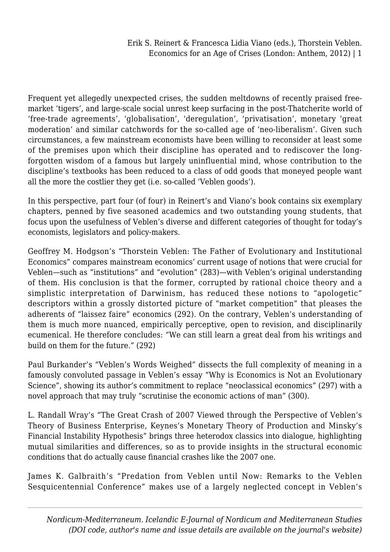Frequent yet allegedly unexpected crises, the sudden meltdowns of recently praised freemarket 'tigers', and large-scale social unrest keep surfacing in the post-Thatcherite world of 'free-trade agreements', 'globalisation', 'deregulation', 'privatisation', monetary 'great moderation' and similar catchwords for the so-called age of 'neo-liberalism'. Given such circumstances, a few mainstream economists have been willing to reconsider at least some of the premises upon which their discipline has operated and to rediscover the longforgotten wisdom of a famous but largely uninfluential mind, whose contribution to the discipline's textbooks has been reduced to a class of odd goods that moneyed people want all the more the costlier they get (i.e. so-called 'Veblen goods').

In this perspective, part four (of four) in Reinert's and Viano's book contains six exemplary chapters, penned by five seasoned academics and two outstanding young students, that focus upon the usefulness of Veblen's diverse and different categories of thought for today's economists, legislators and policy-makers.

Geoffrey M. Hodgson's "Thorstein Veblen: The Father of Evolutionary and Institutional Economics" compares mainstream economics' current usage of notions that were crucial for Veblen—such as "institutions" and "evolution" (283)—with Veblen's original understanding of them. His conclusion is that the former, corrupted by rational choice theory and a simplistic interpretation of Darwinism, has reduced these notions to "apologetic" descriptors within a grossly distorted picture of "market competition" that pleases the adherents of "laissez faire" economics (292). On the contrary, Veblen's understanding of them is much more nuanced, empirically perceptive, open to revision, and disciplinarily ecumenical. He therefore concludes: "We can still learn a great deal from his writings and build on them for the future." (292)

Paul Burkander's "Veblen's Words Weighed" dissects the full complexity of meaning in a famously convoluted passage in Veblen's essay "Why is Economics is Not an Evolutionary Science", showing its author's commitment to replace "neoclassical economics" (297) with a novel approach that may truly "scrutinise the economic actions of man" (300).

L. Randall Wray's "The Great Crash of 2007 Viewed through the Perspective of Veblen's Theory of Business Enterprise, Keynes's Monetary Theory of Production and Minsky's Financial Instability Hypothesis" brings three heterodox classics into dialogue, highlighting mutual similarities and differences, so as to provide insights in the structural economic conditions that do actually cause financial crashes like the 2007 one.

James K. Galbraith's "Predation from Veblen until Now: Remarks to the Veblen Sesquicentennial Conference" makes use of a largely neglected concept in Veblen's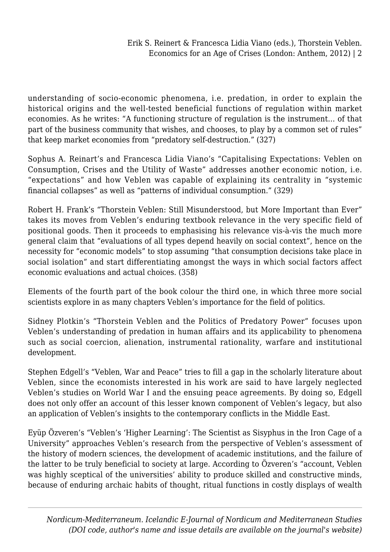understanding of socio-economic phenomena, i.e. predation, in order to explain the historical origins and the well-tested beneficial functions of regulation within market economies. As he writes: "A functioning structure of regulation is the instrument… of that part of the business community that wishes, and chooses, to play by a common set of rules" that keep market economies from "predatory self-destruction." (327)

Sophus A. Reinart's and Francesca Lidia Viano's "Capitalising Expectations: Veblen on Consumption, Crises and the Utility of Waste" addresses another economic notion, i.e. "expectations" and how Veblen was capable of explaining its centrality in "systemic financial collapses" as well as "patterns of individual consumption." (329)

Robert H. Frank's "Thorstein Veblen: Still Misunderstood, but More Important than Ever" takes its moves from Veblen's enduring textbook relevance in the very specific field of positional goods. Then it proceeds to emphasising his relevance vis-à-vis the much more general claim that "evaluations of all types depend heavily on social context", hence on the necessity for "economic models" to stop assuming "that consumption decisions take place in social isolation" and start differentiating amongst the ways in which social factors affect economic evaluations and actual choices. (358)

Elements of the fourth part of the book colour the third one, in which three more social scientists explore in as many chapters Veblen's importance for the field of politics.

Sidney Plotkin's "Thorstein Veblen and the Politics of Predatory Power" focuses upon Veblen's understanding of predation in human affairs and its applicability to phenomena such as social coercion, alienation, instrumental rationality, warfare and institutional development.

Stephen Edgell's "Veblen, War and Peace" tries to fill a gap in the scholarly literature about Veblen, since the economists interested in his work are said to have largely neglected Veblen's studies on World War I and the ensuing peace agreements. By doing so, Edgell does not only offer an account of this lesser known component of Veblen's legacy, but also an application of Veblen's insights to the contemporary conflicts in the Middle East.

Eyüp Özveren's "Veblen's 'Higher Learning': The Scientist as Sisyphus in the Iron Cage of a University" approaches Veblen's research from the perspective of Veblen's assessment of the history of modern sciences, the development of academic institutions, and the failure of the latter to be truly beneficial to society at large. According to Özveren's "account, Veblen was highly sceptical of the universities' ability to produce skilled and constructive minds, because of enduring archaic habits of thought, ritual functions in costly displays of wealth